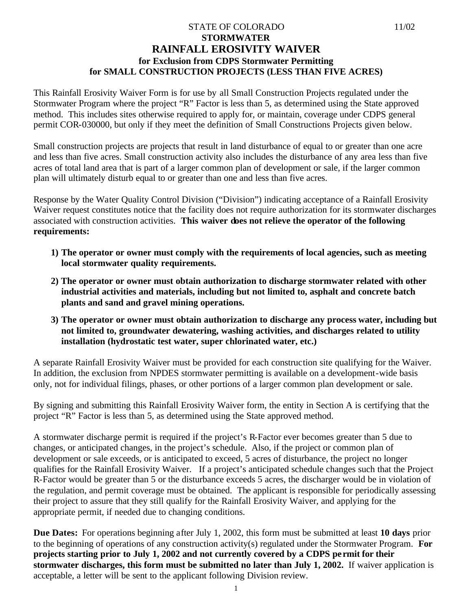### STATE OF COLORADO 11/02 **STORMWATER RAINFALL EROSIVITY WAIVER for Exclusion from CDPS Stormwater Permitting for SMALL CONSTRUCTION PROJECTS (LESS THAN FIVE ACRES)**

This Rainfall Erosivity Waiver Form is for use by all Small Construction Projects regulated under the Stormwater Program where the project "R" Factor is less than 5, as determined using the State approved method. This includes sites otherwise required to apply for, or maintain, coverage under CDPS general permit COR-030000, but only if they meet the definition of Small Constructions Projects given below.

Small construction projects are projects that result in land disturbance of equal to or greater than one acre and less than five acres. Small construction activity also includes the disturbance of any area less than five acres of total land area that is part of a larger common plan of development or sale, if the larger common plan will ultimately disturb equal to or greater than one and less than five acres.

Response by the Water Quality Control Division ("Division") indicating acceptance of a Rainfall Erosivity Waiver request constitutes notice that the facility does not require authorization for its stormwater discharges associated with construction activities. **This waiver does not relieve the operator of the following requirements:**

- **1) The operator or owner must comply with the requirements of local agencies, such as meeting local stormwater quality requirements.**
- **2) The operator or owner must obtain authorization to discharge stormwater related with other industrial activities and materials, including but not limited to, asphalt and concrete batch plants and sand and gravel mining operations.**
- **3) The operator or owner must obtain authorization to discharge any process water, including but not limited to, groundwater dewatering, washing activities, and discharges related to utility installation (hydrostatic test water, super chlorinated water, etc.)**

A separate Rainfall Erosivity Waiver must be provided for each construction site qualifying for the Waiver. In addition, the exclusion from NPDES stormwater permitting is available on a development-wide basis only, not for individual filings, phases, or other portions of a larger common plan development or sale.

By signing and submitting this Rainfall Erosivity Waiver form, the entity in Section A is certifying that the project "R" Factor is less than 5, as determined using the State approved method.

A stormwater discharge permit is required if the project's R-Factor ever becomes greater than 5 due to changes, or anticipated changes, in the project's schedule. Also, if the project or common plan of development or sale exceeds, or is anticipated to exceed, 5 acres of disturbance, the project no longer qualifies for the Rainfall Erosivity Waiver. If a project's anticipated schedule changes such that the Project R-Factor would be greater than 5 or the disturbance exceeds 5 acres, the discharger would be in violation of the regulation, and permit coverage must be obtained. The applicant is responsible for periodically assessing their project to assure that they still qualify for the Rainfall Erosivity Waiver, and applying for the appropriate permit, if needed due to changing conditions.

**Due Dates:** For operations beginning after July 1, 2002, this form must be submitted at least **10 days** prior to the beginning of operations of any construction activity(s) regulated under the Stormwater Program. **For projects starting prior to July 1, 2002 and not currently covered by a CDPS pe rmit for their stormwater discharges, this form must be submitted no later than July 1, 2002.** If waiver application is acceptable, a letter will be sent to the applicant following Division review.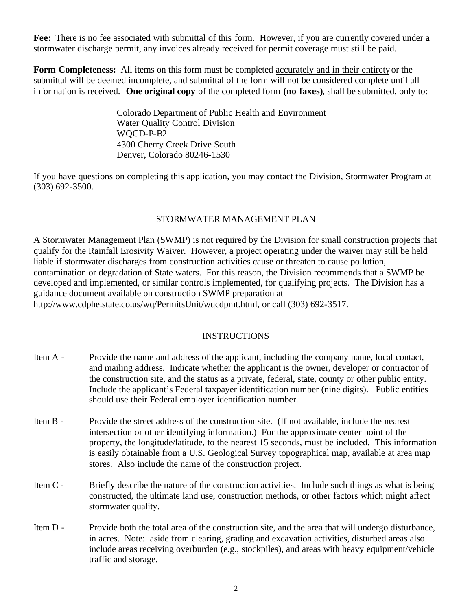Fee: There is no fee associated with submittal of this form. However, if you are currently covered under a stormwater discharge permit, any invoices already received for permit coverage must still be paid.

**Form Completeness:** All items on this form must be completed accurately and in their entirety or the submittal will be deemed incomplete, and submittal of the form will not be considered complete until all information is received. **One original copy** of the completed form **(no faxes)**, shall be submitted, only to:

> Colorado Department of Public Health and Environment Water Quality Control Division WQCD-P-B2 4300 Cherry Creek Drive South Denver, Colorado 80246-1530

If you have questions on completing this application, you may contact the Division, Stormwater Program at (303) 692-3500.

### STORMWATER MANAGEMENT PLAN

A Stormwater Management Plan (SWMP) is not required by the Division for small construction projects that qualify for the Rainfall Erosivity Waiver. However, a project operating under the waiver may still be held liable if stormwater discharges from construction activities cause or threaten to cause pollution, contamination or degradation of State waters. For this reason, the Division recommends that a SWMP be developed and implemented, or similar controls implemented, for qualifying projects. The Division has a guidance document available on construction SWMP preparation at http://www.cdphe.state.co.us/wq/PermitsUnit/wqcdpmt.html, or call (303) 692-3517.

### INSTRUCTIONS

| Item A -   | Provide the name and address of the applicant, including the company name, local contact,<br>and mailing address. Indicate whether the applicant is the owner, developer or contractor of<br>the construction site, and the status as a private, federal, state, county or other public entity.<br>Include the applicant's Federal taxpayer identification number (nine digits). Public entities<br>should use their Federal employer identification number. |
|------------|--------------------------------------------------------------------------------------------------------------------------------------------------------------------------------------------------------------------------------------------------------------------------------------------------------------------------------------------------------------------------------------------------------------------------------------------------------------|
| Item B -   | Provide the street address of the construction site. (If not available, include the nearest<br>intersection or other identifying information.) For the approximate center point of the<br>property, the longitude/latitude, to the nearest 15 seconds, must be included. This information<br>is easily obtainable from a U.S. Geological Survey topographical map, available at area map<br>stores. Also include the name of the construction project.       |
| Item $C -$ | Briefly describe the nature of the construction activities. Include such things as what is being<br>constructed, the ultimate land use, construction methods, or other factors which might affect<br>stormwater quality.                                                                                                                                                                                                                                     |

Item D - Provide both the total area of the construction site, and the area that will undergo disturbance, in acres. Note: aside from clearing, grading and excavation activities, disturbed areas also include areas receiving overburden (e.g., stockpiles), and areas with heavy equipment/vehicle traffic and storage.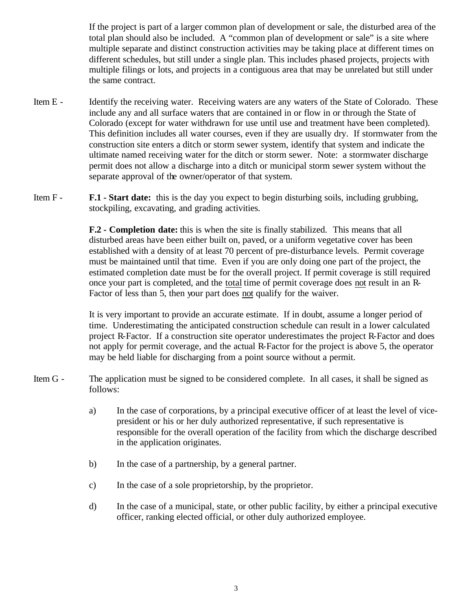If the project is part of a larger common plan of development or sale, the disturbed area of the total plan should also be included. A "common plan of development or sale" is a site where multiple separate and distinct construction activities may be taking place at different times on different schedules, but still under a single plan. This includes phased projects, projects with multiple filings or lots, and projects in a contiguous area that may be unrelated but still under the same contract.

- Item E Identify the receiving water. Receiving waters are any waters of the State of Colorado. These include any and all surface waters that are contained in or flow in or through the State of Colorado (except for water withdrawn for use until use and treatment have been completed). This definition includes all water courses, even if they are usually dry. If stormwater from the construction site enters a ditch or storm sewer system, identify that system and indicate the ultimate named receiving water for the ditch or storm sewer. Note: a stormwater discharge permit does not allow a discharge into a ditch or municipal storm sewer system without the separate approval of the owner/operator of that system.
- Item F **F.1 Start date:** this is the day you expect to begin disturbing soils, including grubbing, stockpiling, excavating, and grading activities.

**F.2 - Completion date:** this is when the site is finally stabilized. This means that all disturbed areas have been either built on, paved, or a uniform vegetative cover has been established with a density of at least 70 percent of pre-disturbance levels. Permit coverage must be maintained until that time. Even if you are only doing one part of the project, the estimated completion date must be for the overall project. If permit coverage is still required once your part is completed, and the total time of permit coverage does not result in an R-Factor of less than 5, then your part does not qualify for the waiver.

It is very important to provide an accurate estimate. If in doubt, assume a longer period of time. Underestimating the anticipated construction schedule can result in a lower calculated project R-Factor. If a construction site operator underestimates the project R-Factor and does not apply for permit coverage, and the actual R-Factor for the project is above 5, the operator may be held liable for discharging from a point source without a permit.

- Item G The application must be signed to be considered complete. In all cases, it shall be signed as follows:
	- a) In the case of corporations, by a principal executive officer of at least the level of vicepresident or his or her duly authorized representative, if such representative is responsible for the overall operation of the facility from which the discharge described in the application originates.
	- b) In the case of a partnership, by a general partner.
	- c) In the case of a sole proprietorship, by the proprietor.
	- d) In the case of a municipal, state, or other public facility, by either a principal executive officer, ranking elected official, or other duly authorized employee.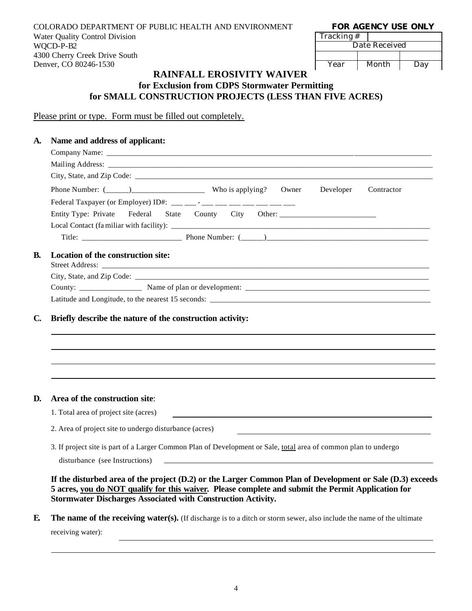COLORADO DEPARTMENT OF PUBLIC HEALTH AND ENVIRONMENT **FOR AGENCY USE ONLY** Water Quality Control Division WQCD-P-B2 4300 Cherry Creek Drive South Denver, CO 80246-1530

| <b>FOR AGENCY USE ONLY</b> |  |  |
|----------------------------|--|--|
|----------------------------|--|--|

| Tracking # |               |     |
|------------|---------------|-----|
|            | Date Received |     |
|            |               |     |
| Year       | Month         | Day |

### **RAINFALL EROSIVITY WAIVER for Exclusion from CDPS Stormwater Permitting for SMALL CONSTRUCTION PROJECTS (LESS THAN FIVE ACRES)**

Please print or type. Form must be filled out completely.

# **A. Name and address of applicant:** Company Name: Mailing Address: City, State, and Zip Code: \_\_\_\_\_\_\_\_\_\_\_\_\_\_\_\_\_\_\_\_\_\_\_\_\_\_\_\_\_\_\_\_\_\_\_\_\_\_\_\_\_\_\_\_\_\_\_\_\_\_\_\_\_\_\_\_\_\_\_\_\_\_\_\_\_\_\_\_\_\_\_\_\_\_\_\_\_ Phone Number: (\_\_\_\_\_\_)\_\_\_\_\_\_\_\_\_\_\_\_\_\_\_\_\_\_\_ Who is applying? Owner Developer Contractor Federal Taxpayer (or Employer) ID#: \_\_\_ \_\_\_ - \_\_\_ \_\_\_ \_\_\_ \_\_\_ \_\_\_ \_\_\_ \_\_\_ Entity Type: Private Federal State County City Other: Local Contact (fa miliar with facility):  $\frac{1}{\sqrt{2}}$ Title: \_\_\_\_\_\_\_\_\_\_\_\_\_\_\_\_\_\_\_\_\_\_\_\_\_\_ Phone Number: (\_\_\_\_\_\_)\_\_\_\_\_\_\_\_\_\_\_\_\_\_\_\_\_\_\_\_\_\_\_\_\_\_\_\_\_\_\_\_\_\_\_\_\_\_\_\_\_\_ **B. Location of the construction site:** Street Address: \_\_\_\_\_\_\_\_\_\_\_\_\_\_\_\_\_\_\_\_\_\_\_\_\_\_\_\_\_\_\_\_\_\_\_\_\_\_\_\_\_\_\_\_\_\_\_\_\_\_\_\_\_\_\_\_\_\_\_\_\_\_\_\_\_\_\_\_\_\_\_\_\_\_\_\_\_\_\_\_\_\_\_\_\_ City, State, and Zip Code: \_\_\_\_\_\_\_\_\_\_\_\_\_\_\_\_\_\_\_\_\_\_\_\_\_\_\_\_\_\_\_\_\_\_\_\_\_\_\_\_\_\_\_\_\_\_\_\_\_\_\_\_\_\_\_\_\_\_\_\_\_\_\_\_\_\_\_\_\_\_\_\_\_\_\_\_ County: \_\_\_\_\_\_\_\_\_\_\_\_\_\_\_\_ Name of plan or development: \_\_\_\_\_\_\_\_\_\_\_\_\_\_\_\_\_\_\_\_\_\_\_\_\_\_\_\_\_\_\_\_\_\_\_\_\_\_\_\_\_\_\_\_\_\_\_\_ Latitude and Longitude, to the nearest 15 seconds: **C. Briefly describe the nature of the construction activity:**

#### **D. Area of the construction site**:

1. Total area of project site (acres)

2. Area of project site to undergo disturbance (acres)

3. If project site is part of a Larger Common Plan of Development or Sale, total area of common plan to undergo

disturbance (see Instructions)

**If the disturbed area of the project (D.2) or the Larger Common Plan of Development or Sale (D.3) exceeds 5 acres, you do NOT qualify for this waiver. Please complete and submit the Permit Application for Stormwater Discharges Associated with Construction Activity.**

**E. The name of the receiving water(s).** (If discharge is to a ditch or storm sewer, also include the name of the ultimate receiving water):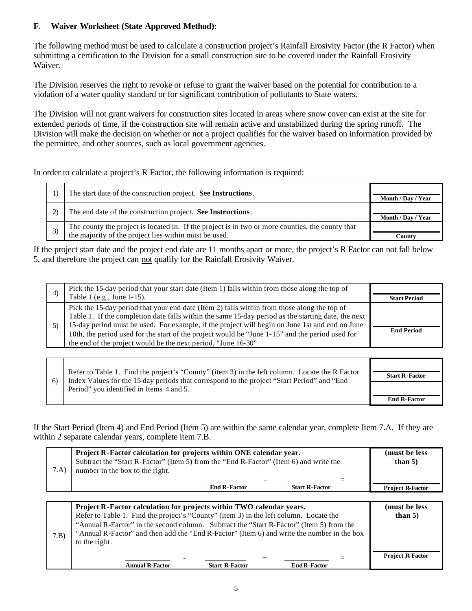### **F**. **Waiver Worksheet (State Approved Method):**

The following method must be used to calculate a construction project's Rainfall Erosivity Factor (the R Factor) when submitting a certification to the Division for a small construction site to be covered under the Rainfall Erosivity Waiver.

The Division reserves the right to revoke or refuse to grant the waiver based on the potential for contribution to a violation of a water quality standard or for significant contribution of pollutants to State waters.

The Division will not grant waivers for construction sites located in areas where snow cover can exist at the site for extended periods of time, if the construction site will remain active and unstabilized during the spring runoff. The Division will make the decision on whether or not a project qualifies for the waiver based on information provided by the permittee, and other sources, such as local government agencies.

In order to calculate a project's R Factor, the following information is required:

| The start date of the construction project. See Instructions.                                                                                             | Month / Day / Year |
|-----------------------------------------------------------------------------------------------------------------------------------------------------------|--------------------|
| The end date of the construction project. See Instructions.                                                                                               | Month / Day / Year |
| The county the project is located in. If the project is in two or more counties, the county that<br>the majority of the project lies within must be used. | County             |

If the project start date and the project end date are 11 months apart or more, the project's R Factor can not fall below 5, and therefore the project can not qualify for the Rainfall Erosivity Waiver.

| 4) | Pick the 15-day period that your start date (Item 1) falls within from those along the top of                                                                                                                                                                                                                                                                                                                                                                           |                     |
|----|-------------------------------------------------------------------------------------------------------------------------------------------------------------------------------------------------------------------------------------------------------------------------------------------------------------------------------------------------------------------------------------------------------------------------------------------------------------------------|---------------------|
|    | Table 1 (e.g., June 1-15).                                                                                                                                                                                                                                                                                                                                                                                                                                              | <b>Start Period</b> |
|    | Pick the 15-day period that your end date (Item 2) falls within from those along the top of<br>Table 1. If the completion date falls within the same 15-day period as the starting date, the next<br>15-day period must be used. For example, if the project will begin on June 1st and end on June<br>10th, the period used for the start of the project would be "June 1-15" and the period used for<br>the end of the project would be the next period, "June 16-30" | <b>End Period</b>   |

| 6 | Refer to Table 1. Find the project's "County" (item 3) in the left column. Locate the R Factor<br>Index Values for the 15-day periods that correspond to the project "Start Period" and "End" | <b>Start R-Factor</b> |
|---|-----------------------------------------------------------------------------------------------------------------------------------------------------------------------------------------------|-----------------------|
|   | Period" you identified in Items 4 and 5.                                                                                                                                                      | <b>End R-Factor</b>   |

If the Start Period (Item 4) and End Period (Item 5) are within the same calendar year, complete Item 7.A. If they are within 2 separate calendar years, complete item 7.B.

| 7.A | Project R-Factor calculation for projects within ONE calendar year.<br>Subtract the "Start R-Factor" (Item 5) from the "End R-Factor" (Item 6) and write the<br>number in the box to the right. | (must be less)<br>than $5)$ |
|-----|-------------------------------------------------------------------------------------------------------------------------------------------------------------------------------------------------|-----------------------------|
|     | -<br><b>Start R-Factor</b><br><b>End R-Factor</b>                                                                                                                                               | <b>Project R-Factor</b>     |
|     |                                                                                                                                                                                                 |                             |

| 7.B | <b>Project R-Factor calculation for projects within TWO calendar years.</b><br>Refer to Table 1. Find the project's "County" (item 3) in the left column. Locate the<br>"Annual R-Factor" in the second column. Subtract the "Start R-Factor" (Item 5) from the<br>"Annual R-Factor" and then add the "End R-Factor" (Item 6) and write the number in the box<br>to the right. | (must be less)<br>than $5)$ |
|-----|--------------------------------------------------------------------------------------------------------------------------------------------------------------------------------------------------------------------------------------------------------------------------------------------------------------------------------------------------------------------------------|-----------------------------|
|     | <b>Annual R-Factor</b><br><b>Start R-Factor</b><br><b>End R-Factor</b>                                                                                                                                                                                                                                                                                                         | <b>Project R-Factor</b>     |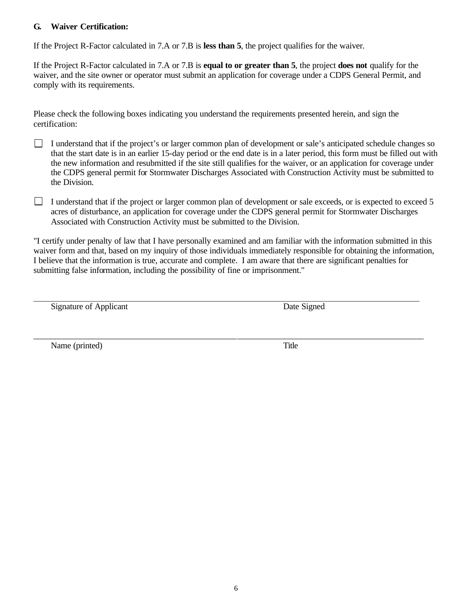### **G. Waiver Certification:**

If the Project R-Factor calculated in 7.A or 7.B is **less than 5**, the project qualifies for the waiver.

If the Project R-Factor calculated in 7.A or 7.B is **equal to or greater than 5**, the project **does not** qualify for the waiver, and the site owner or operator must submit an application for coverage under a CDPS General Permit, and comply with its requirements.

Please check the following boxes indicating you understand the requirements presented herein, and sign the certification:

- I understand that if the project's or larger common plan of development or sale's anticipated schedule changes so that the start date is in an earlier 15-day period or the end date is in a later period, this form must be filled out with the new information and resubmitted if the site still qualifies for the waiver, or an application for coverage under the CDPS general permit for Stormwater Discharges Associated with Construction Activity must be submitted to the Division.
- I understand that if the project or larger common plan of development or sale exceeds, or is expected to exceed 5 acres of disturbance, an application for coverage under the CDPS general permit for Stormwater Discharges Associated with Construction Activity must be submitted to the Division.

"I certify under penalty of law that I have personally examined and am familiar with the information submitted in this waiver form and that, based on my inquiry of those individuals immediately responsible for obtaining the information, I believe that the information is true, accurate and complete. I am aware that there are significant penalties for submitting false information, including the possibility of fine or imprisonment."

\_\_\_\_\_\_\_\_\_\_\_\_\_\_\_\_\_\_\_\_\_\_\_\_\_\_\_\_\_\_\_\_\_\_\_\_\_\_\_\_\_\_\_\_\_\_\_\_\_\_\_\_\_\_\_\_\_\_\_\_\_\_\_\_\_\_\_\_\_\_\_\_\_\_\_\_\_\_\_\_\_\_\_\_\_\_\_\_\_\_\_\_

Signature of Applicant Date Signed

\_\_\_\_\_\_\_\_\_\_\_\_\_\_\_\_\_\_\_\_\_\_\_\_\_\_\_\_\_\_\_\_\_\_\_\_\_\_\_\_\_\_\_\_\_\_\_\_\_\_\_\_\_\_\_\_\_\_\_\_\_\_\_\_\_\_\_\_\_\_\_\_\_\_\_\_\_\_\_\_\_\_\_\_\_\_\_\_\_\_\_\_\_\_\_\_\_\_\_\_

Name (printed) Title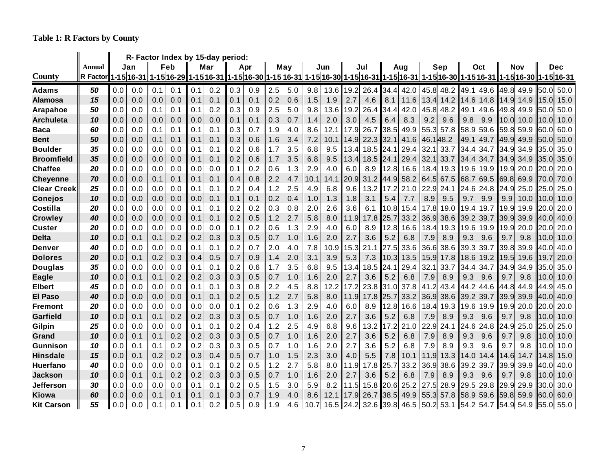**Table 1: R Factors by County**

|                    |                 | R- Factor Index by 15-day period: |                       |     |     |     |            |     |     |     |     |      |      |      |      |      |                          |          |      |          |                     |      |      |                                                                                                                  |      |
|--------------------|-----------------|-----------------------------------|-----------------------|-----|-----|-----|------------|-----|-----|-----|-----|------|------|------|------|------|--------------------------|----------|------|----------|---------------------|------|------|------------------------------------------------------------------------------------------------------------------|------|
|                    | Annual          |                                   | Jan                   |     | Feb |     | Mar<br>Apr |     |     |     | May |      | Jun  |      | Jul  |      | Aug                      |          | Sep  |          | Oct                 |      | Nov  | Dec                                                                                                              |      |
| <b>County</b>      | <b>R</b> Factor |                                   | 1-15 16-31 1-15 16-29 |     |     |     |            |     |     |     |     |      |      |      |      |      |                          |          |      |          |                     |      |      | 1-15 16-31  1-15 16-30  1-15 16-31  1-15 16-30  1-15 16-31  1-15 16-31  1-15 16-30  1-15 16-31  1-15 16-30  1-15 |      |
| <b>Adams</b>       | 50              | 0.0                               | 0.0                   | 0.1 | 0.1 | 0.1 | 0.2        | 0.3 | 0.9 | 2.5 | 5.0 | 9.8  | 13.6 | 19.2 | 26.4 | 34.4 | 42.0                     | 45.8     | 48.2 | 49.1     | 49.6                | 49.8 | 49.9 | 50.0                                                                                                             | 50.0 |
| Alamosa            | 15              | 0.0                               | 0.0                   | 0.0 | 0.0 | 0.1 | 0.1        | 0.1 | 0.1 | 0.2 | 0.6 | 1.5  | 1.9  | 2.7  | 4.6  | 8.1  | 11.6                     | 13.4     | 14.2 | 14.6     | 14.8                | 14.9 | 14.9 | 15.0                                                                                                             | 15.0 |
| Arapahoe           | 50              | 0.0                               | 0.0                   | 0.1 | 0.1 | 0.1 | 0.2        | 0.3 | 0.9 | 2.5 | 5.0 | 9.8  | 13.6 | 19.2 | 26.4 | 34.4 | 42.0                     | 45.8     | 48.2 | 49.1     | 49.6                | 49.8 | 49.9 | 50.0                                                                                                             | 50.0 |
| <b>Archuleta</b>   | 10              | 0.0                               | 0.0                   | 0.0 | 0.0 | 0.0 | 0.0        | 0.1 | 0.1 | 0.3 | 0.7 | 1.4  | 2.0  | 3.0  | 4.5  | 6.4  | 8.3                      | 9.2      | 9.6  | 9.8      | 9.9                 | 10.0 | 10.0 | 10.0                                                                                                             | 10.0 |
| Baca               | 60              | 0.0                               | 0.0                   | 0.1 | 0.1 | 0.1 | 0.1        | 0.3 | 0.7 | 1.9 | 4.0 | 8.6  | 12.1 | 17.9 | 26.7 | 38.5 | 49.9                     | 55.3     | 57.8 | 58.9     | 59.6                | 59.8 | 59.9 | 60.0                                                                                                             | 60.0 |
| <b>Bent</b>        | 50              | 0.0                               | 0.0                   | 0.1 | 0.1 | 0.1 | 0.1        | 0.3 | 0.6 | 1.6 | 3.4 | 7.2  | 10.1 | 14.9 | 22.3 | 32.1 | 41.6                     | 46.148.2 |      | 49.1     | 49.7                | 49.9 | 49.9 | 50.0                                                                                                             | 50.0 |
| <b>Boulder</b>     | 35              | 0.0                               | 0.0                   | 0.0 | 0.0 | 0.1 | 0.1        | 0.2 | 0.6 | 1.7 | 3.5 | 6.8  | 9.5  | 13.4 | 18.5 | 24.1 | 29.4                     | 32.1     | 33.7 | 34<br>.4 | 34.7                | 34.9 | 34.9 | 35.0                                                                                                             | 35.0 |
| <b>Broomfield</b>  | 35              | 0.0                               | 0.0                   | 0.0 | 0.0 | 0.1 | 0.1        | 0.2 | 0.6 | 1.7 | 3.5 | 6.8  | 9.5  | 13.4 | 18.5 | 24.1 | 29.4                     | 32.1     | 33.7 | 34.4     | 34.7                | 34.9 | 34.9 | 35.0                                                                                                             | 35.0 |
| <b>Chaffee</b>     | 20              | 0.0                               | 0.0                   | 0.0 | 0.0 | 0.0 | 0.0        | 0.1 | 0.2 | 0.6 | 1.3 | 2.9  | 4.0  | 6.0  | 8.9  | 12.8 | 16.6                     | 18.4     | 19.3 | 19.6     | 19.9                | 19.9 | 20.0 | 20.0                                                                                                             | 20.0 |
| <b>Cheyenne</b>    | 70              | 0.0                               | 0.0                   | 0.1 | 0.1 | 0.1 | 0.1        | 0.4 | 0.8 | 2.2 | 4.7 | 10.1 | 14.1 | 20.9 | 31.2 | 44.9 | 58.2                     | 64.5     | 67.5 | 68.7     | 69.5                | 69.8 | 69.9 | <b>70.0</b>                                                                                                      | 70.0 |
| <b>Clear Creek</b> | 25              | 0.0                               | 0.0                   | 0.0 | 0.0 | 0.1 | 0.1        | 0.2 | 0.4 | 1.2 | 2.5 | 4.9  | 6.8  | 9.6  | 13.2 | 17.2 | 21.0                     | 22.9     | 24.1 | 24.6     | 24.8                | 24.9 | 25.0 | 25.0                                                                                                             | 25.0 |
| <b>Conejos</b>     | 10              | 0.0                               | 0.0                   | 0.0 | 0.0 | 0.0 | 0.1        | 0.1 | 0.1 | 0.2 | 0.4 | 1.0  | 1.3  | 1.8  | 3.1  | 5.4  | 7.7                      | 8.9      | 9.5  | 9.7      | 9.9                 | 9.9  | 10.0 | 10.0                                                                                                             | 10.0 |
| Costilla           | 20              | 0.0                               | 0.0                   | 0.0 | 0.0 | 0.1 | 0.1        | 0.2 | 0.2 | 0.3 | 0.8 | 2.0  | 2.6  | 3.6  | 6.1  | 10.8 | 15.4                     | 17.8     | 19.0 | 19.4     | 19.7                | 19.9 | 19.9 | 20.0                                                                                                             | 20.0 |
| <b>Crowley</b>     | 40              | 0.0                               | 0.0                   | 0.0 | 0.0 | 0.1 | 0.1        | 0.2 | 0.5 | 1.2 | 2.7 | 5.8  | 8.0  | 11.9 | 17.8 | 25.7 | 33.2                     | 36.9     | 38.6 | 39.2     | 39.7                | 39.9 | 39.9 | 40.0                                                                                                             | 40.0 |
| <b>Custer</b>      | 20              | 0.0                               | 0.0                   | 0.0 | 0.0 | 0.0 | 0.0        | 0.1 | 0.2 | 0.6 | 1.3 | 2.9  | 4.0  | 6.0  | 8.9  | 12.8 | 16.6                     | 18.4     | 19.3 | 19.6     | 19.9                | 19.9 | 20.0 | 20.0                                                                                                             | 20.0 |
| <b>Delta</b>       | 10              | 0.0                               | 0.1                   | 0.1 | 0.2 | 0.2 | 0.3        | 0.3 | 0.5 | 0.7 | 1.0 | 1.6  | 2.0  | 2.7  | 3.6  | 5.2  | 6.8                      | 7.9      | 8.9  | 9.3      | 9.6                 | 9.7  | 9.8  | 10.0                                                                                                             | 10.0 |
| Denver             | 40              | 0.0                               | 0.0                   | 0.0 | 0.0 | 0.1 | 0.1        | 0.2 | 0.7 | 2.0 | 4.0 | 7.8  | 10.9 | 15.3 | 21.1 | 27.5 | 33.6                     | 36.6     | 38.6 | 39.3     | 39.7                | 39.8 | 39.9 | 40.0                                                                                                             | 40.0 |
| <b>Dolores</b>     | 20              | 0.0                               | 0.1                   | 0.2 | 0.3 | 0.4 | 0.5        | 0.7 | 0.9 | 1.4 | 2.0 | 3.1  | 3.9  | 5.3  | 7.3  | 10.3 | 13.5                     | 15.9     | 17.8 | 18.6     | 19.2                | 19.5 | 19.6 | 19.7                                                                                                             | 20.0 |
| <b>Douglas</b>     | 35              | 0.0                               | 0.0                   | 0.0 | 0.0 | 0.1 | 0.1        | 0.2 | 0.6 | 1.7 | 3.5 | 6.8  | 9.5  | 13.4 | 18.5 | 24.1 | 29.4                     | 32.1     | 33.7 | 34.4     | 34.7                | 34.9 | 34.9 | 35.0                                                                                                             | 35.0 |
| <b>Eagle</b>       | 10              | 0.0                               | 0.1                   | 0.1 | 0.2 | 0.2 | 0.3        | 0.3 | 0.5 | 0.7 | 1.0 | 1.6  | 2.0  | 2.7  | 3.6  | 5.2  | 6.8                      | 7.9      | 8.9  | 9.3      | 9.6                 | 9.7  | 9.8  | 10.0                                                                                                             | 10.0 |
| Elbert             | 45              | 0.0                               | 0.0                   | 0.0 | 0.0 | 0.1 | 0.1        | 0.3 | 0.8 | 2.2 | 4.5 | 8.8  | 12.2 | 17.2 | 23.8 | 31.0 | 37.8                     | 41.2     | 43.4 | 44       | 44.6                | 44.8 | 44.9 | 44.91                                                                                                            | 45.0 |
| <b>El Paso</b>     | 40              | 0.0                               | 0.0                   | 0.0 | 0.0 | 0.1 | 0.1        | 0.2 | 0.5 | 1.2 | 2.7 | 5.8  | 8.0  | 11.9 | 17.8 | 25.7 | 33.2                     | 36.9     | 38.6 | 39.2     | 39.7                | 39.9 | 39.9 | 40.0                                                                                                             | 40.0 |
| Fremont            | 20              | 0.0                               | 0.0                   | 0.0 | 0.0 | 0.0 | 0.0        | 0.1 | 0.2 | 0.6 | 1.3 | 2.9  | 4.0  | 6.0  | 8.9  | 12.8 | 16.6                     | 18.4     | 19.3 | 19.6     | 19.9                | 19.9 | 20.0 | 20.0                                                                                                             | 20.0 |
| <b>Garfield</b>    | 10              | 0.0                               | 0.1                   | 0.1 | 0.2 | 0.2 | 0.3        | 0.3 | 0.5 | 0.7 | 1.0 | 1.6  | 2.0  | 2.7  | 3.6  | 5.2  | 6.8                      | 7.9      | 8.9  | 9.3      | 9.6                 | 9.7  | 9.8  | 10.0                                                                                                             | 10.0 |
| Gilpin             | 25              | 0.0                               | 0.0                   | 0.0 | 0.0 | 0.1 | 0.1        | 0.2 | 0.4 | 1.2 | 2.5 | 4.9  | 6.8  | 9.6  | 13.2 | 17.2 | 21.0                     | 22.9     | 24.1 | 24.6     | 24.8                | 24.9 | 25.0 | 25.0                                                                                                             | 25.0 |
| Grand              | 10              | 0.0                               | 0.1                   | 0.1 | 0.2 | 0.2 | 0.3        | 0.3 | 0.5 | 0.7 | 1.0 | 1.6  | 2.0  | 2.7  | 3.6  | 5.2  | 6.8                      | 7.9      | 8.9  | 9.3      | 9.6                 | 9.7  | 9.8  | 10.0                                                                                                             | 10.0 |
| Gunnison           | 10              | 0.0                               | 0.1                   | 0.1 | 0.2 | 0.2 | 0.3        | 0.3 | 0.5 | 0.7 | 1.0 | 1.6  | 2.0  | 2.7  | 3.6  | 5.2  | 6.8                      | 7.9      | 8.9  | 9.3      | 9.6                 | 9.7  | 9.8  | 10.0                                                                                                             | 10.0 |
| <b>Hinsdale</b>    | 15              | 0.0                               | 0.1                   | 0.2 | 0.2 | 0.3 | 0.4        | 0.5 | 0.7 | 1.0 | 1.5 | 2.3  | 3.0  | 4.0  | 5.5  | 7.8  | 10.1                     | 11.9     | 13.3 | 14.0     | 14.4                | 14.6 | 14.7 | 14.81                                                                                                            | 15.0 |
| <b>Huerfano</b>    | 40              | 0.0                               | 0.0                   | 0.0 | 0.0 | 0.1 | 0.1        | 0.2 | 0.5 | 1.2 | 2.7 | 5.8  | 8.0  | 11.9 | 17.8 | 25.7 | 33.2                     | 36.9     | 38.6 | 39.2     | 39.7                | 39.9 | 39.9 | 40.0                                                                                                             | 40.0 |
| <b>Jackson</b>     | 10              | 0.0                               | 0.1                   | 0.1 | 0.2 | 0.2 | 0.3        | 0.3 | 0.5 | 0.7 | 1.0 | 1.6  | 2.0  | 2.7  | 3.6  | 5.2  | 6.8                      | 7.9      | 8.9  | 9.3      | 9.6                 | 9.7  | 9.8  | 10.0                                                                                                             | 10.0 |
| <b>Jefferson</b>   | 30              | 0.0                               | 0.0                   | 0.0 | 0.0 | 0.1 | 0.1        | 0.2 | 0.5 | 1.5 | 3.0 | 5.9  | 8.2  | 11.5 | 15.8 | 20.6 | 25.2                     | 27.5     | 28.9 | 29.5     | 29.8                | 29.9 | 29.9 | 30.0                                                                                                             | 30.0 |
| Kiowa              | 60              | 0.0                               | 0.0                   | 0.1 | 0.1 | 0.1 | 0.1        | 0.3 | 0.7 | 1.9 | 4.0 | 8.6  | 12.1 | 17.9 | 26.7 | 38.5 | 49.9                     | 55.3     | 57.8 | 58.9     | 59.6                | 59.8 | 59.9 | 60.0                                                                                                             | 60.0 |
| <b>Kit Carson</b>  | 55              | 0.0                               | 0.0                   | 0.1 | 0.1 | 0.1 | 0.2        | 0.5 | 0.9 | 1.9 | 4.6 | 10.7 | 16.5 | 24.2 |      |      | 32.6 39.8 46.5 50.2 53.1 |          |      |          | 54.2 54.7 54.9 54.9 |      |      | 55.0                                                                                                             | 55.0 |